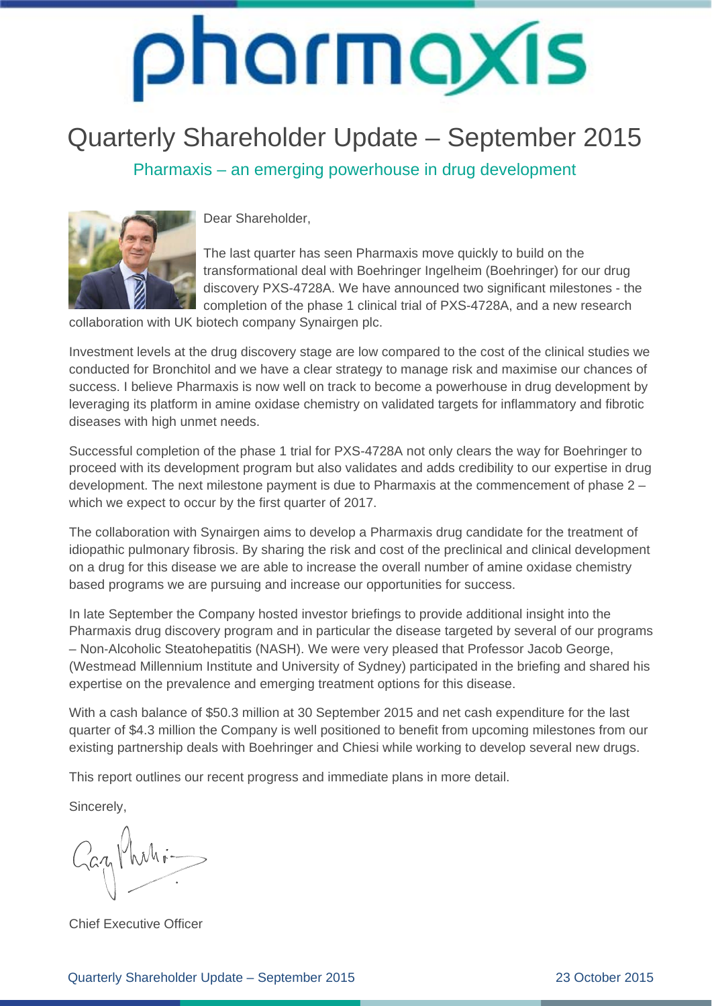### Quarterly Shareholder Update – September 2015

Pharmaxis – an emerging powerhouse in drug development



Dear Shareholder,

The last quarter has seen Pharmaxis move quickly to build on the transformational deal with Boehringer Ingelheim (Boehringer) for our drug discovery PXS-4728A. We have announced two significant milestones - the completion of the phase 1 clinical trial of PXS-4728A, and a new research

collaboration with UK biotech company Synairgen plc.

Investment levels at the drug discovery stage are low compared to the cost of the clinical studies we conducted for Bronchitol and we have a clear strategy to manage risk and maximise our chances of success. I believe Pharmaxis is now well on track to become a powerhouse in drug development by leveraging its platform in amine oxidase chemistry on validated targets for inflammatory and fibrotic diseases with high unmet needs.

Successful completion of the phase 1 trial for PXS-4728A not only clears the way for Boehringer to proceed with its development program but also validates and adds credibility to our expertise in drug development. The next milestone payment is due to Pharmaxis at the commencement of phase 2 – which we expect to occur by the first quarter of 2017.

The collaboration with Synairgen aims to develop a Pharmaxis drug candidate for the treatment of idiopathic pulmonary fibrosis. By sharing the risk and cost of the preclinical and clinical development on a drug for this disease we are able to increase the overall number of amine oxidase chemistry based programs we are pursuing and increase our opportunities for success.

In late September the Company hosted investor briefings to provide additional insight into the Pharmaxis drug discovery program and in particular the disease targeted by several of our programs – Non‐Alcoholic Steatohepatitis (NASH). We were very pleased that Professor Jacob George, (Westmead Millennium Institute and University of Sydney) participated in the briefing and shared his expertise on the prevalence and emerging treatment options for this disease.

With a cash balance of \$50.3 million at 30 September 2015 and net cash expenditure for the last quarter of \$4.3 million the Company is well positioned to benefit from upcoming milestones from our existing partnership deals with Boehringer and Chiesi while working to develop several new drugs.

This report outlines our recent progress and immediate plans in more detail.

Sincerely,

Gazy Phili-

Chief Executive Officer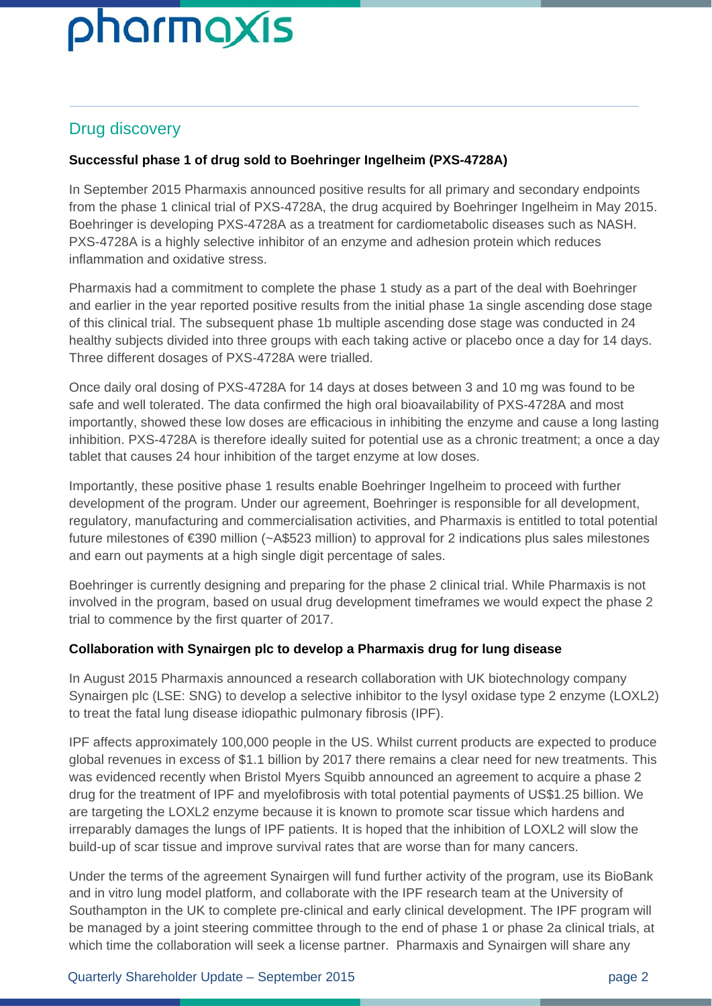#### Drug discovery

#### **Successful phase 1 of drug sold to Boehringer Ingelheim (PXS-4728A)**

In September 2015 Pharmaxis announced positive results for all primary and secondary endpoints from the phase 1 clinical trial of PXS-4728A, the drug acquired by Boehringer Ingelheim in May 2015. Boehringer is developing PXS-4728A as a treatment for cardiometabolic diseases such as NASH. PXS-4728A is a highly selective inhibitor of an enzyme and adhesion protein which reduces inflammation and oxidative stress.

Pharmaxis had a commitment to complete the phase 1 study as a part of the deal with Boehringer and earlier in the year reported positive results from the initial phase 1a single ascending dose stage of this clinical trial. The subsequent phase 1b multiple ascending dose stage was conducted in 24 healthy subjects divided into three groups with each taking active or placebo once a day for 14 days. Three different dosages of PXS-4728A were trialled.

Once daily oral dosing of PXS-4728A for 14 days at doses between 3 and 10 mg was found to be safe and well tolerated. The data confirmed the high oral bioavailability of PXS-4728A and most importantly, showed these low doses are efficacious in inhibiting the enzyme and cause a long lasting inhibition. PXS-4728A is therefore ideally suited for potential use as a chronic treatment; a once a day tablet that causes 24 hour inhibition of the target enzyme at low doses.

Importantly, these positive phase 1 results enable Boehringer Ingelheim to proceed with further development of the program. Under our agreement, Boehringer is responsible for all development, regulatory, manufacturing and commercialisation activities, and Pharmaxis is entitled to total potential future milestones of €390 million (~A\$523 million) to approval for 2 indications plus sales milestones and earn out payments at a high single digit percentage of sales.

Boehringer is currently designing and preparing for the phase 2 clinical trial. While Pharmaxis is not involved in the program, based on usual drug development timeframes we would expect the phase 2 trial to commence by the first quarter of 2017.

#### **Collaboration with Synairgen plc to develop a Pharmaxis drug for lung disease**

In August 2015 Pharmaxis announced a research collaboration with UK biotechnology company Synairgen plc (LSE: SNG) to develop a selective inhibitor to the lysyl oxidase type 2 enzyme (LOXL2) to treat the fatal lung disease idiopathic pulmonary fibrosis (IPF).

IPF affects approximately 100,000 people in the US. Whilst current products are expected to produce global revenues in excess of \$1.1 billion by 2017 there remains a clear need for new treatments. This was evidenced recently when Bristol Myers Squibb announced an agreement to acquire a phase 2 drug for the treatment of IPF and myelofibrosis with total potential payments of US\$1.25 billion. We are targeting the LOXL2 enzyme because it is known to promote scar tissue which hardens and irreparably damages the lungs of IPF patients. It is hoped that the inhibition of LOXL2 will slow the build-up of scar tissue and improve survival rates that are worse than for many cancers.

Under the terms of the agreement Synairgen will fund further activity of the program, use its BioBank and in vitro lung model platform, and collaborate with the IPF research team at the University of Southampton in the UK to complete pre-clinical and early clinical development. The IPF program will be managed by a joint steering committee through to the end of phase 1 or phase 2a clinical trials, at which time the collaboration will seek a license partner. Pharmaxis and Synairgen will share any

#### Quarterly Shareholder Update – September 2015 page 2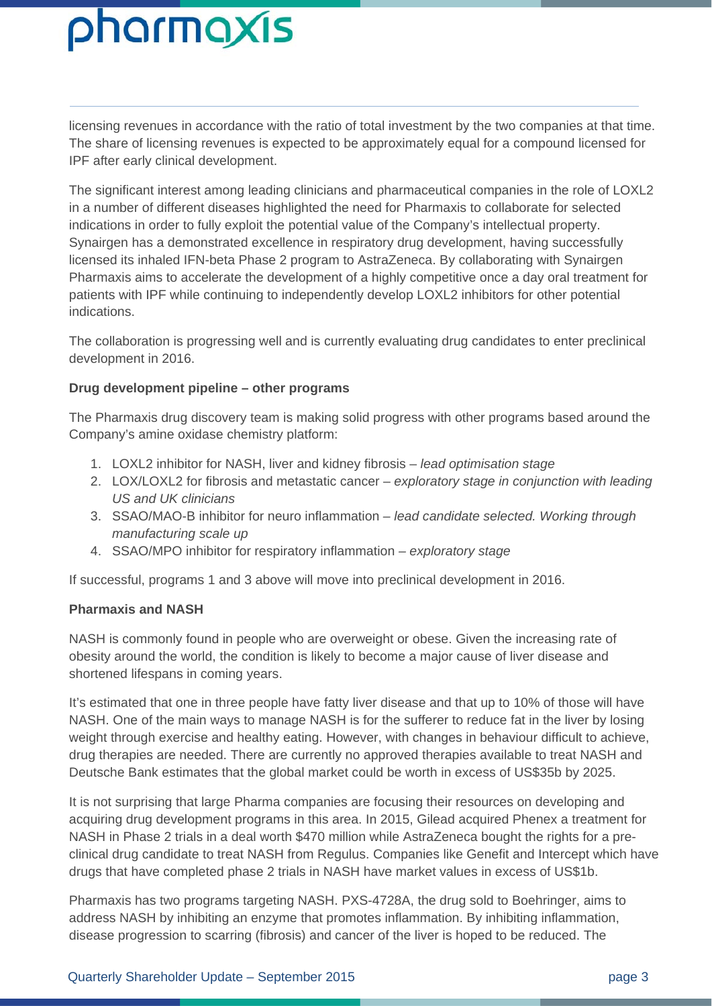licensing revenues in accordance with the ratio of total investment by the two companies at that time. The share of licensing revenues is expected to be approximately equal for a compound licensed for IPF after early clinical development.

The significant interest among leading clinicians and pharmaceutical companies in the role of LOXL2 in a number of different diseases highlighted the need for Pharmaxis to collaborate for selected indications in order to fully exploit the potential value of the Company's intellectual property. Synairgen has a demonstrated excellence in respiratory drug development, having successfully licensed its inhaled IFN-beta Phase 2 program to AstraZeneca. By collaborating with Synairgen Pharmaxis aims to accelerate the development of a highly competitive once a day oral treatment for patients with IPF while continuing to independently develop LOXL2 inhibitors for other potential indications.

The collaboration is progressing well and is currently evaluating drug candidates to enter preclinical development in 2016.

#### **Drug development pipeline – other programs**

The Pharmaxis drug discovery team is making solid progress with other programs based around the Company's amine oxidase chemistry platform:

- 1. LOXL2 inhibitor for NASH, liver and kidney fibrosis *lead optimisation stage*
- 2. LOX/LOXL2 for fibrosis and metastatic cancer *exploratory stage in conjunction with leading US and UK clinicians*
- 3. SSAO/MAO-B inhibitor for neuro inflammation  *lead candidate selected. Working through manufacturing scale up*
- 4. SSAO/MPO inhibitor for respiratory inflammation *exploratory stage*

If successful, programs 1 and 3 above will move into preclinical development in 2016.

#### **Pharmaxis and NASH**

NASH is commonly found in people who are overweight or obese. Given the increasing rate of obesity around the world, the condition is likely to become a major cause of liver disease and shortened lifespans in coming years.

It's estimated that one in three people have fatty liver disease and that up to 10% of those will have NASH. One of the main ways to manage NASH is for the sufferer to reduce fat in the liver by losing weight through exercise and healthy eating. However, with changes in behaviour difficult to achieve, drug therapies are needed. There are currently no approved therapies available to treat NASH and Deutsche Bank estimates that the global market could be worth in excess of US\$35b by 2025.

It is not surprising that large Pharma companies are focusing their resources on developing and acquiring drug development programs in this area. In 2015, Gilead acquired Phenex a treatment for NASH in Phase 2 trials in a deal worth \$470 million while AstraZeneca bought the rights for a preclinical drug candidate to treat NASH from Regulus. Companies like Genefit and Intercept which have drugs that have completed phase 2 trials in NASH have market values in excess of US\$1b.

Pharmaxis has two programs targeting NASH. PXS-4728A, the drug sold to Boehringer, aims to address NASH by inhibiting an enzyme that promotes inflammation. By inhibiting inflammation, disease progression to scarring (fibrosis) and cancer of the liver is hoped to be reduced. The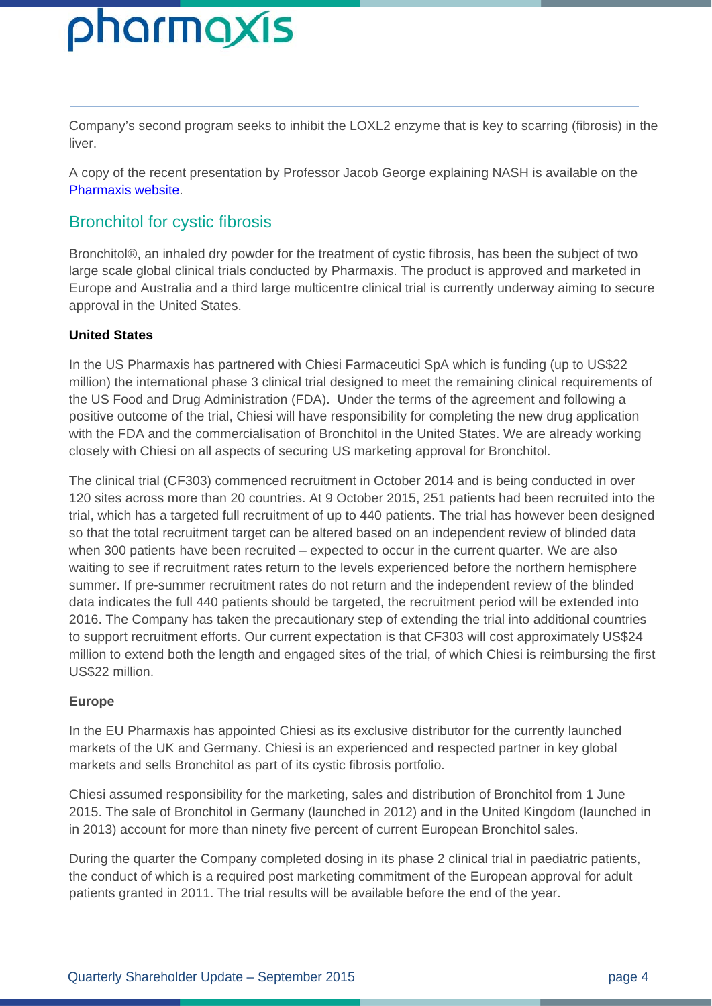Company's second program seeks to inhibit the LOXL2 enzyme that is key to scarring (fibrosis) in the liver.

A copy of the recent presentation by Professor Jacob George explaining NASH is available on the Pharmaxis website.

#### Bronchitol for cystic fibrosis

Bronchitol®, an inhaled dry powder for the treatment of cystic fibrosis, has been the subject of two large scale global clinical trials conducted by Pharmaxis. The product is approved and marketed in Europe and Australia and a third large multicentre clinical trial is currently underway aiming to secure approval in the United States.

#### **United States**

In the US Pharmaxis has partnered with Chiesi Farmaceutici SpA which is funding (up to US\$22 million) the international phase 3 clinical trial designed to meet the remaining clinical requirements of the US Food and Drug Administration (FDA). Under the terms of the agreement and following a positive outcome of the trial, Chiesi will have responsibility for completing the new drug application with the FDA and the commercialisation of Bronchitol in the United States. We are already working closely with Chiesi on all aspects of securing US marketing approval for Bronchitol.

The clinical trial (CF303) commenced recruitment in October 2014 and is being conducted in over 120 sites across more than 20 countries. At 9 October 2015, 251 patients had been recruited into the trial, which has a targeted full recruitment of up to 440 patients. The trial has however been designed so that the total recruitment target can be altered based on an independent review of blinded data when 300 patients have been recruited – expected to occur in the current quarter. We are also waiting to see if recruitment rates return to the levels experienced before the northern hemisphere summer. If pre-summer recruitment rates do not return and the independent review of the blinded data indicates the full 440 patients should be targeted, the recruitment period will be extended into 2016. The Company has taken the precautionary step of extending the trial into additional countries to support recruitment efforts. Our current expectation is that CF303 will cost approximately US\$24 million to extend both the length and engaged sites of the trial, of which Chiesi is reimbursing the first US\$22 million.

#### **Europe**

In the EU Pharmaxis has appointed Chiesi as its exclusive distributor for the currently launched markets of the UK and Germany. Chiesi is an experienced and respected partner in key global markets and sells Bronchitol as part of its cystic fibrosis portfolio.

Chiesi assumed responsibility for the marketing, sales and distribution of Bronchitol from 1 June 2015. The sale of Bronchitol in Germany (launched in 2012) and in the United Kingdom (launched in in 2013) account for more than ninety five percent of current European Bronchitol sales.

During the quarter the Company completed dosing in its phase 2 clinical trial in paediatric patients, the conduct of which is a required post marketing commitment of the European approval for adult patients granted in 2011. The trial results will be available before the end of the year.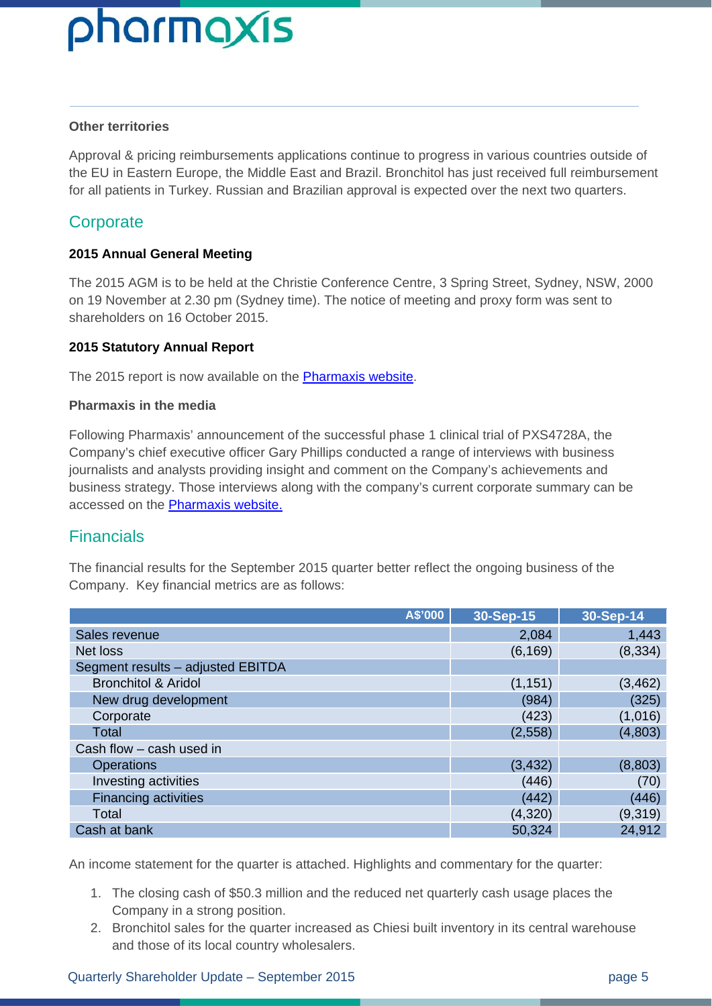#### **Other territories**

Approval & pricing reimbursements applications continue to progress in various countries outside of the EU in Eastern Europe, the Middle East and Brazil. Bronchitol has just received full reimbursement for all patients in Turkey. Russian and Brazilian approval is expected over the next two quarters.

#### **Corporate**

#### **2015 Annual General Meeting**

The 2015 AGM is to be held at the Christie Conference Centre, 3 Spring Street, Sydney, NSW, 2000 on 19 November at 2.30 pm (Sydney time). The notice of meeting and proxy form was sent to shareholders on 16 October 2015.

#### **2015 Statutory Annual Report**

The 2015 report is now available on the Pharmaxis website.

#### **Pharmaxis in the media**

Following Pharmaxis' announcement of the successful phase 1 clinical trial of PXS4728A, the Company's chief executive officer Gary Phillips conducted a range of interviews with business journalists and analysts providing insight and comment on the Company's achievements and business strategy. Those interviews along with the company's current corporate summary can be accessed on the **Pharmaxis website.** 

#### **Financials**

The financial results for the September 2015 quarter better reflect the ongoing business of the Company. Key financial metrics are as follows:

| A\$'000                           | 30-Sep-15 | 30-Sep-14 |
|-----------------------------------|-----------|-----------|
| Sales revenue                     | 2,084     | 1,443     |
| Net loss                          | (6, 169)  | (8, 334)  |
| Segment results - adjusted EBITDA |           |           |
| <b>Bronchitol &amp; Aridol</b>    | (1, 151)  | (3, 462)  |
| New drug development              | (984)     | (325)     |
| Corporate                         | (423)     | (1,016)   |
| Total                             | (2,558)   | (4,803)   |
| Cash flow - cash used in          |           |           |
| <b>Operations</b>                 | (3, 432)  | (8,803)   |
| Investing activities              | (446)     | (70)      |
| <b>Financing activities</b>       | (442)     | (446)     |
| Total                             | (4,320)   | (9,319)   |
| Cash at bank                      | 50,324    | 24,912    |

An income statement for the quarter is attached. Highlights and commentary for the quarter:

- 1. The closing cash of \$50.3 million and the reduced net quarterly cash usage places the Company in a strong position.
- 2. Bronchitol sales for the quarter increased as Chiesi built inventory in its central warehouse and those of its local country wholesalers.

#### Quarterly Shareholder Update – September 2015 **by a strategies of the September 2015** page 5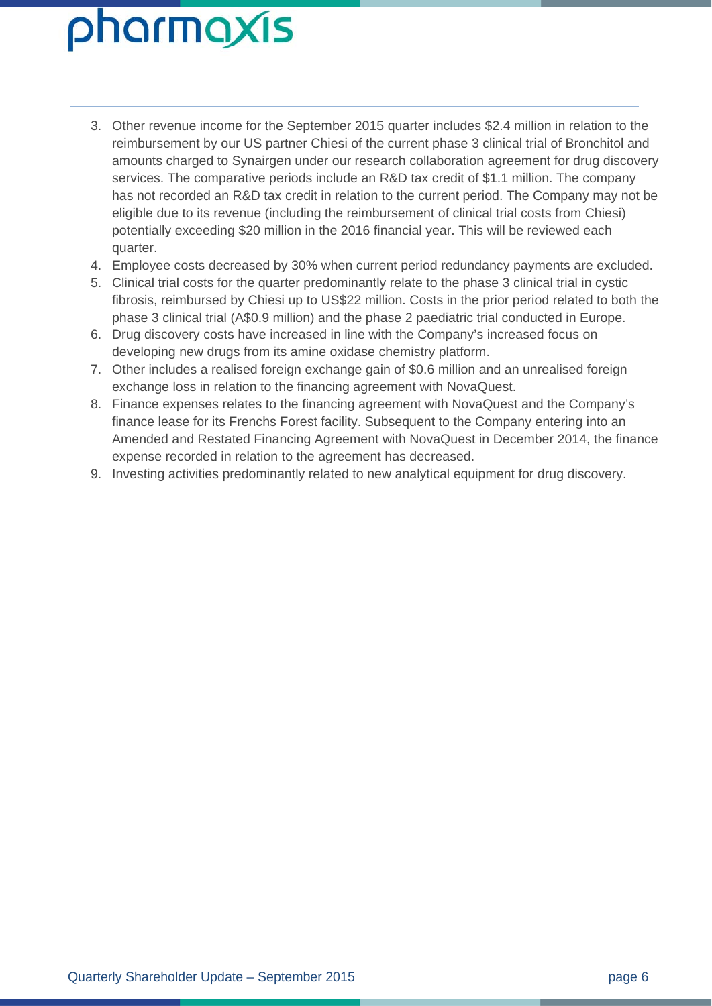- 3. Other revenue income for the September 2015 quarter includes \$2.4 million in relation to the reimbursement by our US partner Chiesi of the current phase 3 clinical trial of Bronchitol and amounts charged to Synairgen under our research collaboration agreement for drug discovery services. The comparative periods include an R&D tax credit of \$1.1 million. The company has not recorded an R&D tax credit in relation to the current period. The Company may not be eligible due to its revenue (including the reimbursement of clinical trial costs from Chiesi) potentially exceeding \$20 million in the 2016 financial year. This will be reviewed each quarter.
- 4. Employee costs decreased by 30% when current period redundancy payments are excluded.
- 5. Clinical trial costs for the quarter predominantly relate to the phase 3 clinical trial in cystic fibrosis, reimbursed by Chiesi up to US\$22 million. Costs in the prior period related to both the phase 3 clinical trial (A\$0.9 million) and the phase 2 paediatric trial conducted in Europe.
- 6. Drug discovery costs have increased in line with the Company's increased focus on developing new drugs from its amine oxidase chemistry platform.
- 7. Other includes a realised foreign exchange gain of \$0.6 million and an unrealised foreign exchange loss in relation to the financing agreement with NovaQuest.
- 8. Finance expenses relates to the financing agreement with NovaQuest and the Company's finance lease for its Frenchs Forest facility. Subsequent to the Company entering into an Amended and Restated Financing Agreement with NovaQuest in December 2014, the finance expense recorded in relation to the agreement has decreased.
- 9. Investing activities predominantly related to new analytical equipment for drug discovery.